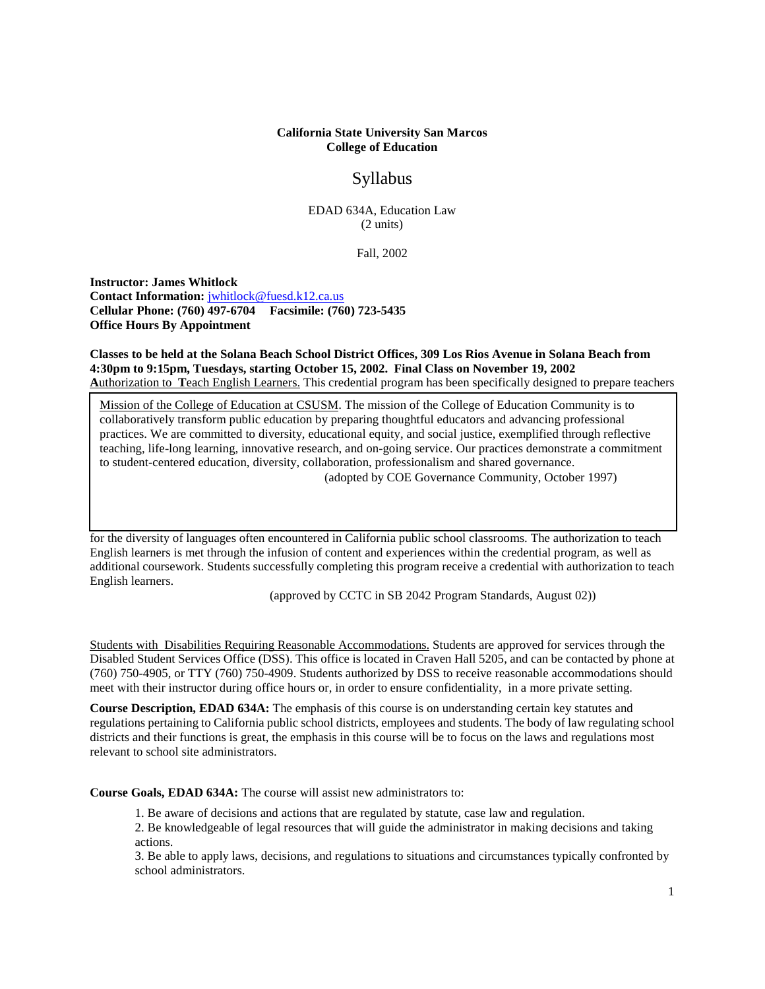## **California State University San Marcos College of Education**

# Syllabus

EDAD 634A, Education Law (2 units)

Fall, 2002

**Instructor: James Whitlock Contact Information:** [jwhitlock@fuesd.k12.ca.us](mailto:jwhitlock@fuesd.k12.ca.us) **Cellular Phone: (760) 497-6704 Facsimile: (760) 723-5435 Office Hours By Appointment**

**Classes to be held at the Solana Beach School District Offices, 309 Los Rios Avenue in Solana Beach from 4:30pm to 9:15pm, Tuesdays, starting October 15, 2002. Final Class on November 19, 2002 A**uthorization to **T**each English Learners. This credential program has been specifically designed to prepare teachers

Mission of the College of Education at CSUSM. The mission of the College of Education Community is to collaboratively transform public education by preparing thoughtful educators and advancing professional practices. We are committed to diversity, educational equity, and social justice, exemplified through reflective teaching, life-long learning, innovative research, and on-going service. Our practices demonstrate a commitment to student-centered education, diversity, collaboration, professionalism and shared governance.

(adopted by COE Governance Community, October 1997)

for the diversity of languages often encountered in California public school classrooms. The authorization to teach English learners is met through the infusion of content and experiences within the credential program, as well as additional coursework. Students successfully completing this program receive a credential with authorization to teach English learners.

(approved by CCTC in SB 2042 Program Standards, August 02))

Students with Disabilities Requiring Reasonable Accommodations. Students are approved for services through the Disabled Student Services Office (DSS). This office is located in Craven Hall 5205, and can be contacted by phone at (760) 750-4905, or TTY (760) 750-4909. Students authorized by DSS to receive reasonable accommodations should meet with their instructor during office hours or, in order to ensure confidentiality, in a more private setting.

**Course Description, EDAD 634A:** The emphasis of this course is on understanding certain key statutes and regulations pertaining to California public school districts, employees and students. The body of law regulating school districts and their functions is great, the emphasis in this course will be to focus on the laws and regulations most relevant to school site administrators.

**Course Goals, EDAD 634A:** The course will assist new administrators to:

1. Be aware of decisions and actions that are regulated by statute, case law and regulation.

2. Be knowledgeable of legal resources that will guide the administrator in making decisions and taking actions.

3. Be able to apply laws, decisions, and regulations to situations and circumstances typically confronted by school administrators.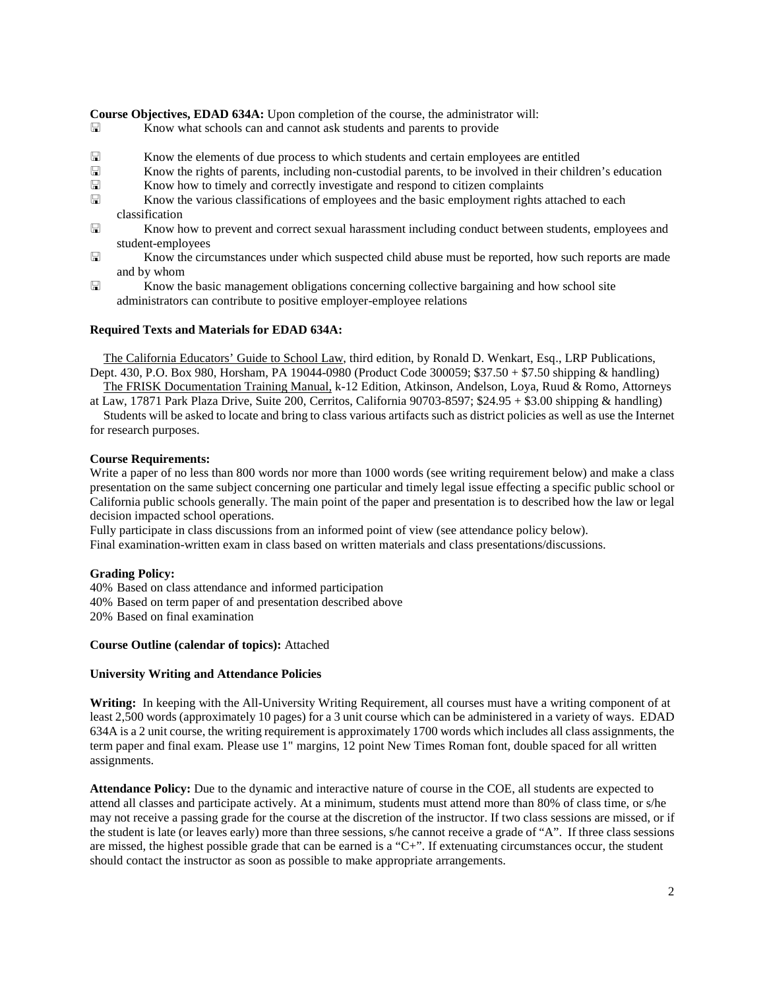**Course Objectives, EDAD 634A:** Upon completion of the course, the administrator will:

- **Exercise 3** Know what schools can and cannot ask students and parents to provide
- $\Box$  Know the elements of due process to which students and certain employees are entitled  $\Box$  Know the rights of parents, including non-custodial parents, to be involved in their child
- Know the rights of parents, including non-custodial parents, to be involved in their children's education<br>  $\Box$  Know how to timely and correctly investigate and respond to citizen complaints
- $\Box$  Know how to timely and correctly investigate and respond to citizen complaints  $\Box$  Know the various classifications of employees and the basic employment rights
- Know the various classifications of employees and the basic employment rights attached to each classification
- Know how to prevent and correct sexual harassment including conduct between students, employees and student-employees
- Know the circumstances under which suspected child abuse must be reported, how such reports are made and by whom
- Know the basic management obligations concerning collective bargaining and how school site administrators can contribute to positive employer-employee relations

## **Required Texts and Materials for EDAD 634A:**

The California Educators' Guide to School Law, third edition, by Ronald D. Wenkart, Esq., LRP Publications, Dept. 430, P.O. Box 980, Horsham, PA 19044-0980 (Product Code 300059; \$37.50 + \$7.50 shipping & handling)

The FRISK Documentation Training Manual, k-12 Edition, Atkinson, Andelson, Loya, Ruud & Romo, Attorneys at Law, 17871 Park Plaza Drive, Suite 200, Cerritos, California 90703-8597; \$24.95 + \$3.00 shipping & handling)

Students will be asked to locate and bring to class various artifacts such as district policies as well as use the Internet for research purposes.

#### **Course Requirements:**

Write a paper of no less than 800 words nor more than 1000 words (see writing requirement below) and make a class presentation on the same subject concerning one particular and timely legal issue effecting a specific public school or California public schools generally. The main point of the paper and presentation is to described how the law or legal decision impacted school operations.

Fully participate in class discussions from an informed point of view (see attendance policy below). Final examination-written exam in class based on written materials and class presentations/discussions.

## **Grading Policy:**

40% Based on class attendance and informed participation 40% Based on term paper of and presentation described above 20% Based on final examination

#### **Course Outline (calendar of topics):** Attached

#### **University Writing and Attendance Policies**

**Writing:** In keeping with the All-University Writing Requirement, all courses must have a writing component of at least 2,500 words (approximately 10 pages) for a 3 unit course which can be administered in a variety of ways. EDAD 634A is a 2 unit course, the writing requirement is approximately 1700 words which includes all class assignments, the term paper and final exam. Please use 1" margins, 12 point New Times Roman font, double spaced for all written assignments.

**Attendance Policy:** Due to the dynamic and interactive nature of course in the COE, all students are expected to attend all classes and participate actively. At a minimum, students must attend more than 80% of class time, or s/he may not receive a passing grade for the course at the discretion of the instructor. If two class sessions are missed, or if the student is late (or leaves early) more than three sessions, s/he cannot receive a grade of "A". If three class sessions are missed, the highest possible grade that can be earned is a "C+". If extenuating circumstances occur, the student should contact the instructor as soon as possible to make appropriate arrangements.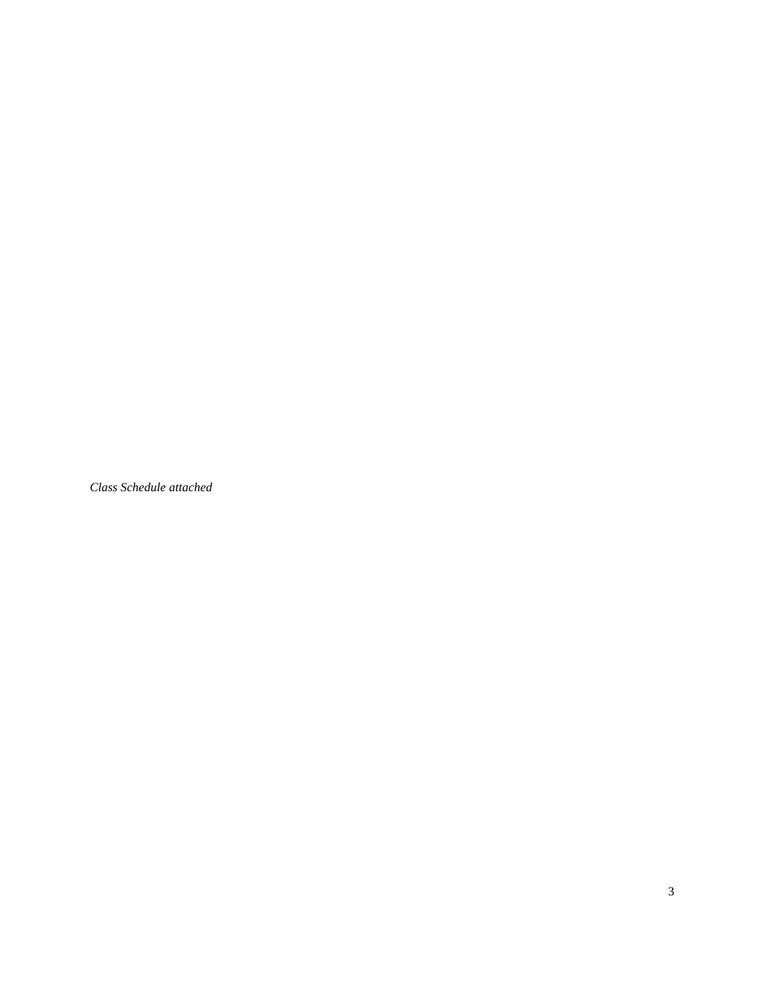*Class Schedule attached*